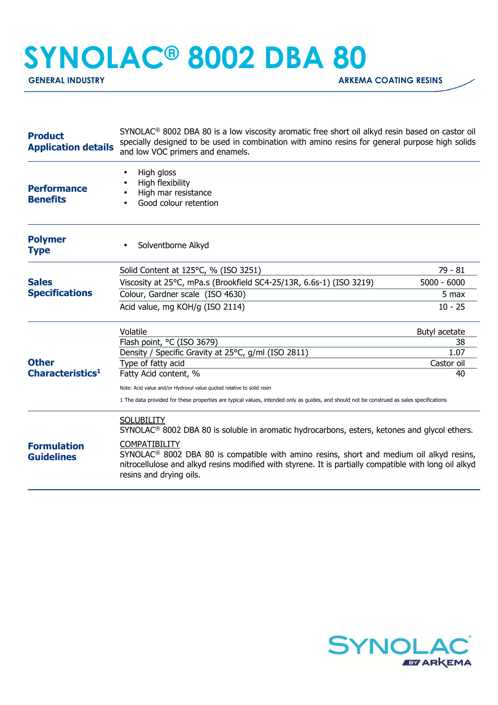## **SYNOLAC® 8002 DBA 80**

**GENERAL INDUSTRY GENERAL INDUSTRY** 

| <b>Product</b><br><b>Application details</b> | SYNOLAC <sup>®</sup> 8002 DBA 80 is a low viscosity aromatic free short oil alkyd resin based on castor oil<br>specially designed to be used in combination with amino resins for general purpose high solids<br>and low VOC primers and enamels.         |                  |  |
|----------------------------------------------|-----------------------------------------------------------------------------------------------------------------------------------------------------------------------------------------------------------------------------------------------------------|------------------|--|
| <b>Performance</b><br><b>Benefits</b>        | High gloss<br>High flexibility<br>High mar resistance<br>Good colour retention<br>$\bullet$                                                                                                                                                               |                  |  |
| <b>Polymer</b><br><b>Type</b>                | Solventborne Alkyd                                                                                                                                                                                                                                        |                  |  |
|                                              | Solid Content at 125°C, % (ISO 3251)                                                                                                                                                                                                                      | $79 - 81$        |  |
| <b>Sales</b><br><b>Specifications</b>        | Viscosity at 25°C, mPa.s (Brookfield SC4-25/13R, 6.6s-1) (ISO 3219)                                                                                                                                                                                       | $5000 - 6000$    |  |
|                                              | Colour, Gardner scale (ISO 4630)                                                                                                                                                                                                                          | 5 max            |  |
|                                              | Acid value, mg KOH/g (ISO 2114)                                                                                                                                                                                                                           | $10 - 25$        |  |
|                                              | Volatile                                                                                                                                                                                                                                                  | Butyl acetate    |  |
|                                              | Flash point, °C (ISO 3679)                                                                                                                                                                                                                                | 38               |  |
| <b>Other</b>                                 | Density / Specific Gravity at 25°C, g/ml (ISO 2811)                                                                                                                                                                                                       | 1.07             |  |
| Characteristics <sup>1</sup>                 | Type of fatty acid<br>Fatty Acid content, %                                                                                                                                                                                                               | Castor oil<br>40 |  |
|                                              |                                                                                                                                                                                                                                                           |                  |  |
|                                              | Note: Acid value and/or Hydroxyl value quoted relative to solid resin<br>1 The data provided for these properties are typical values, intended only as guides, and should not be construed as sales specifications                                        |                  |  |
|                                              | <b>SOLUBILITY</b><br>SYNOLAC <sup>®</sup> 8002 DBA 80 is soluble in aromatic hydrocarbons, esters, ketones and glycol ethers.                                                                                                                             |                  |  |
| <b>Formulation</b><br><b>Guidelines</b>      | COMPATIBILITY<br>SYNOLAC <sup>®</sup> 8002 DBA 80 is compatible with amino resins, short and medium oil alkyd resins,<br>nitrocellulose and alkyd resins modified with styrene. It is partially compatible with long oil alkyd<br>resins and drying oils. |                  |  |
|                                              |                                                                                                                                                                                                                                                           |                  |  |